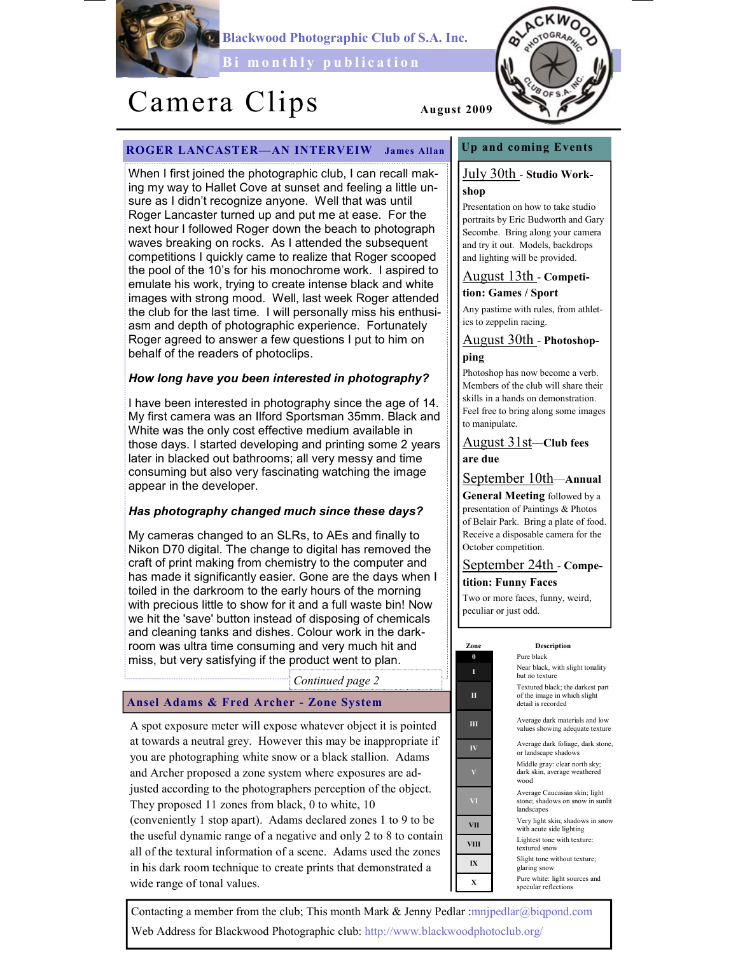

Blackwood Photographic Club of S.A. Inc.

Bi monthly publication

# Camera Clips August 2009

OTOGR40

# ROGER LANCASTER—AN INTERVEIW James Allan

When I first joined the photographic club, I can recall making my way to Hallet Cove at sunset and feeling a little unsure as I didn't recognize anyone. Well that was until Roger Lancaster turned up and put me at ease. For the next hour I followed Roger down the beach to photograph waves breaking on rocks. As I attended the subsequent competitions I quickly came to realize that Roger scooped the pool of the 10's for his monochrome work. I aspired to emulate his work, trying to create intense black and white images with strong mood. Well, last week Roger attended the club for the last time. I will personally miss his enthusiasm and depth of photographic experience. Fortunately Roger agreed to answer a few questions I put to him on behalf of the readers of photoclips.

### How long have you been interested in photography?

I have been interested in photography since the age of 14. My first camera was an Ilford Sportsman 35mm. Black and White was the only cost effective medium available in those days. I started developing and printing some 2 years later in blacked out bathrooms; all very messy and time consuming but also very fascinating watching the image appear in the developer.

# Has photography changed much since these days?

My cameras changed to an SLRs, to AEs and finally to Nikon D70 digital. The change to digital has removed the craft of print making from chemistry to the computer and has made it significantly easier. Gone are the days when I toiled in the darkroom to the early hours of the morning with precious little to show for it and a full waste bin! Now we hit the 'save' button instead of disposing of chemicals and cleaning tanks and dishes. Colour work in the darkroom was ultra time consuming and very much hit and miss, but very satisfying if the product went to plan.

Continued page 2

#### Ansel Adams & Fred Archer - Zone System

A spot exposure meter will expose whatever object it is pointed at towards a neutral grey. However this may be inappropriate if you are photographing white snow or a black stallion. Adams and Archer proposed a zone system where exposures are adjusted according to the photographers perception of the object. They proposed 11 zones from black, 0 to white, 10 (conveniently 1 stop apart). Adams declared zones 1 to 9 to be the useful dynamic range of a negative and only 2 to 8 to contain all of the textural information of a scene. Adams used the zones in his dark room technique to create prints that demonstrated a wide range of tonal values.

# Up and coming Events

### July 30th - Studio Workshop

Presentation on how to take studio portraits by Eric Budworth and Gary Secombe. Bring along your camera and try it out. Models, backdrops and lighting will be provided.

#### August 13th - Competition: Games / Sport

Any pastime with rules, from athletics to zeppelin racing.

# August 30th - Photoshopping

Photoshop has now become a verb. Members of the club will share their skills in a hands on demonstration. Feel free to bring along some images to manipulate.

### August 31st—Club fees are due

#### September 10th—Annual

General Meeting followed by a presentation of Paintings & Photos of Belair Park. Bring a plate of food. Receive a disposable camera for the October competition.

September 24th - Competition: Funny Faces

Two or more faces, funny, weird, peculiar or just odd.

#### Zone Description

0 Pure black I Near black, with slight tonality but no texture Textured black; the darkest part of the image in which slight detail is recorded

III Average dark materials and low values showing adequate texture

IV Average dark foliage, dark stone, or landscape shadows

Middle gray: clear north sky; dark skin, average weathered wood

Average Caucasian skin; light stone; shadows on snow in sunlit landscapes

Very light skin; shadows in snow with acute side lighting

VIII Lightest tone with texture textured snow

IX Slight tone without texture; glaring snow

 $\bf{X}$  Pure white: light sources and specular reflections

Contacting a member from the club; This month Mark & Jenny Pedlar :mnjpedlar@biqpond.com Web Address for Blackwood Photographic club: http://www.blackwoodphotoclub.org/



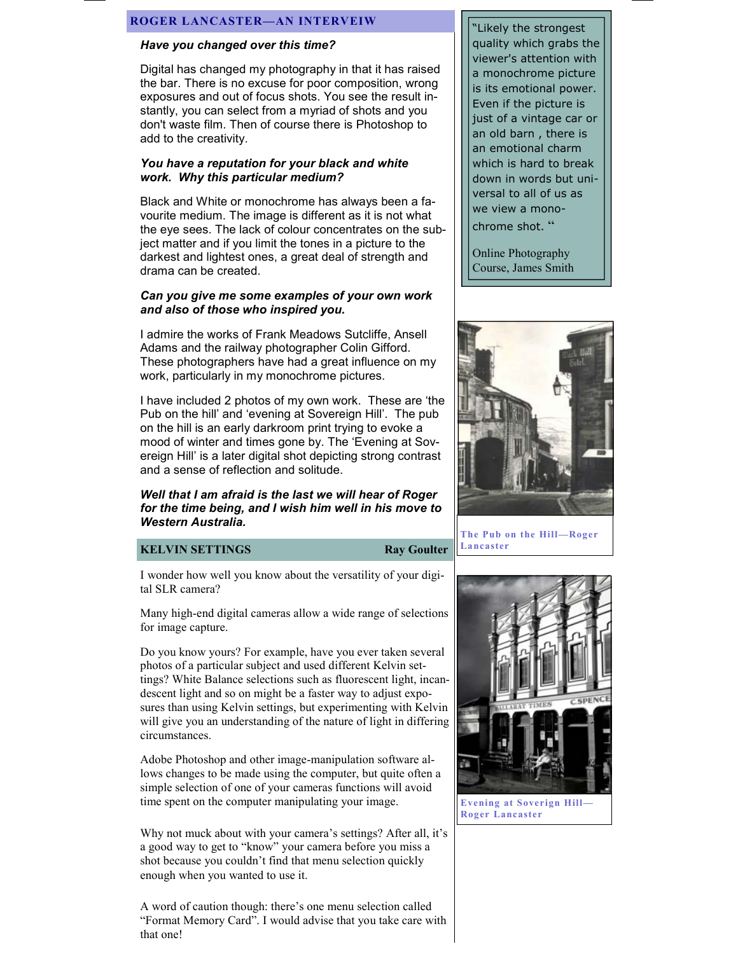#### ROGER LANCASTER—AN INTERVEIW

#### Have you changed over this time?

Digital has changed my photography in that it has raised the bar. There is no excuse for poor composition, wrong exposures and out of focus shots. You see the result instantly, you can select from a myriad of shots and you don't waste film. Then of course there is Photoshop to add to the creativity.

#### You have a reputation for your black and white work. Why this particular medium?

Black and White or monochrome has always been a favourite medium. The image is different as it is not what the eye sees. The lack of colour concentrates on the subject matter and if you limit the tones in a picture to the darkest and lightest ones, a great deal of strength and drama can be created.

#### Can you give me some examples of your own work and also of those who inspired you.

I admire the works of Frank Meadows Sutcliffe, Ansell Adams and the railway photographer Colin Gifford. These photographers have had a great influence on my work, particularly in my monochrome pictures.

I have included 2 photos of my own work. These are 'the Pub on the hill' and 'evening at Sovereign Hill'. The pub on the hill is an early darkroom print trying to evoke a mood of winter and times gone by. The 'Evening at Sovereign Hill' is a later digital shot depicting strong contrast and a sense of reflection and solitude.

#### Well that I am afraid is the last we will hear of Roger for the time being, and I wish him well in his move to Western Australia.

#### **KELVIN SETTINGS** Ray Goulter

I wonder how well you know about the versatility of your digital SLR camera?

Many high-end digital cameras allow a wide range of selections for image capture.

Do you know yours? For example, have you ever taken several photos of a particular subject and used different Kelvin settings? White Balance selections such as fluorescent light, incandescent light and so on might be a faster way to adjust exposures than using Kelvin settings, but experimenting with Kelvin will give you an understanding of the nature of light in differing circumstances.

Adobe Photoshop and other image-manipulation software allows changes to be made using the computer, but quite often a simple selection of one of your cameras functions will avoid time spent on the computer manipulating your image.

Why not muck about with your camera's settings? After all, it's a good way to get to "know" your camera before you miss a shot because you couldn't find that menu selection quickly enough when you wanted to use it.

A word of caution though: there's one menu selection called "Format Memory Card". I would advise that you take care with that one!

"Likely the strongest quality which grabs the viewer's attention with a monochrome picture is its emotional power. Even if the picture is just of a vintage car or an old barn , there is an emotional charm which is hard to break down in words but universal to all of us as we view a monochrome shot. "

Online Photography Course, James Smith



The Pub on the Hill—Roger Lancaster